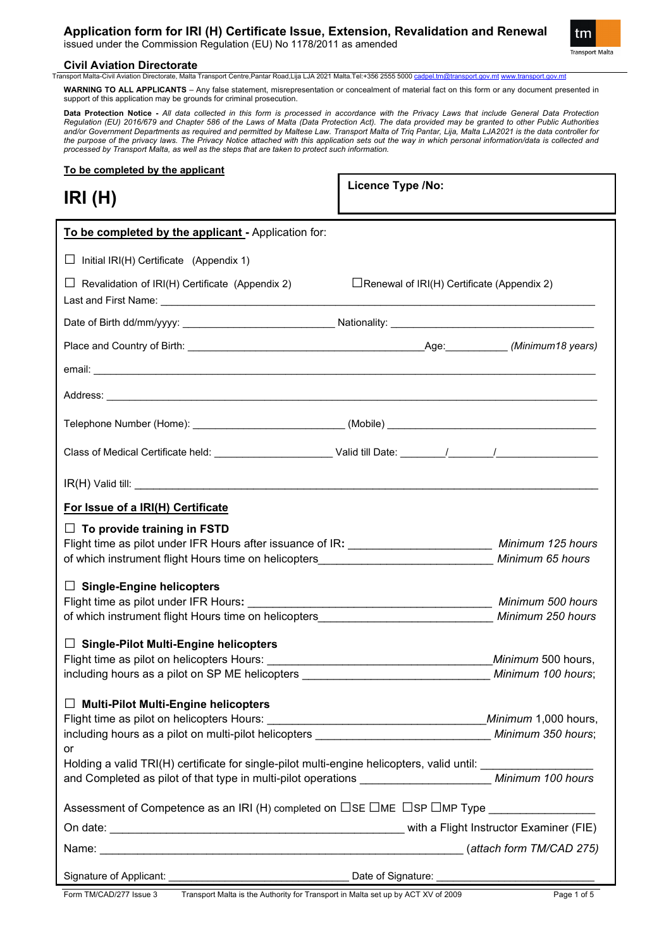## **Application form for IRI (H) Certificate Issue, Extension, Revalidation and Renewal**

issued under the Commission Regulation (EU) No 1178/2011 as amended



# **Civil Aviation Directorate**<br> **Transport Malta-Civil Aviation Directorate. Malta**

llta Transport Centre,Pantar Road,Lija LJA 2021 Malta.Tel:+356 2555 5000 <u>[cadpel.tm@transport.gov.mt](mailto:cadpel.tm@transport.gov.mt) www.tran</u>

**WARNING TO ALL APPLICANTS** – Any false statement, misrepresentation or concealment of material fact on this form or any document presented in support of this application may be grounds for criminal prosecution.

**Data Protection Notice -** *All data collected in this form is processed in accordance with the Privacy Laws that include General Data Protection Regulation (EU) 2016/679 and Chapter 586 of the Laws of Malta (Data Protection Act). The data provided may be granted to other Public Authorities and/or Government Departments as required and permitted by Maltese Law. Transport Malta of Triq Pantar, Lija, Malta LJA2021 is the data controller for the purpose of the privacy laws. The Privacy Notice attached with this application sets out the way in which personal information/data is collected and processed by Transport Malta, as well as the steps that are taken to protect such information.*

**Licence Type /No:** 

## **To be completed by the applicant**

**IRI (H)**

| To be completed by the applicant - Application for:                                                                                                                                                                      |                                                   |                                                        |
|--------------------------------------------------------------------------------------------------------------------------------------------------------------------------------------------------------------------------|---------------------------------------------------|--------------------------------------------------------|
| $\Box$ Initial IRI(H) Certificate (Appendix 1)                                                                                                                                                                           |                                                   |                                                        |
| $\Box$ Revalidation of IRI(H) Certificate (Appendix 2)                                                                                                                                                                   | $\Box$ Renewal of IRI(H) Certificate (Appendix 2) |                                                        |
|                                                                                                                                                                                                                          |                                                   |                                                        |
|                                                                                                                                                                                                                          |                                                   |                                                        |
|                                                                                                                                                                                                                          |                                                   |                                                        |
|                                                                                                                                                                                                                          |                                                   |                                                        |
|                                                                                                                                                                                                                          |                                                   |                                                        |
|                                                                                                                                                                                                                          |                                                   |                                                        |
| $IR(H)$ Valid till:                                                                                                                                                                                                      |                                                   |                                                        |
| For Issue of a IRI(H) Certificate                                                                                                                                                                                        |                                                   |                                                        |
| $\Box$ To provide training in FSTD<br>Flight time as pilot under IFR Hours after issuance of IR: __________________________ Minimum 125 hours                                                                            |                                                   |                                                        |
| $\Box$ Single-Engine helicopters<br>of which instrument flight Hours time on helicopters <b>Construction Construction</b> Minimum 250 hours                                                                              |                                                   |                                                        |
| $\Box$ Single-Pilot Multi-Engine helicopters                                                                                                                                                                             |                                                   |                                                        |
|                                                                                                                                                                                                                          |                                                   | Minimum 500 hours,                                     |
| $\Box$ Multi-Pilot Multi-Engine helicopters<br>Flight time as pilot on helicopters Hours:<br>including hours as a pilot on multi-pilot helicopters <b>Example 20</b> Minimum 350 hours;<br>or                            |                                                   | Minimum 1,000 hours,                                   |
| Holding a valid TRI(H) certificate for single-pilot multi-engine helicopters, valid until: __________________<br>and Completed as pilot of that type in multi-pilot operations _______________________ Minimum 100 hours |                                                   |                                                        |
| Assessment of Competence as an IRI (H) completed on $\Box$ SE $\Box$ ME $\Box$ SP $\Box$ MP Type                                                                                                                         |                                                   |                                                        |
|                                                                                                                                                                                                                          |                                                   |                                                        |
|                                                                                                                                                                                                                          |                                                   |                                                        |
|                                                                                                                                                                                                                          |                                                   | Date of Signature: ___________________________________ |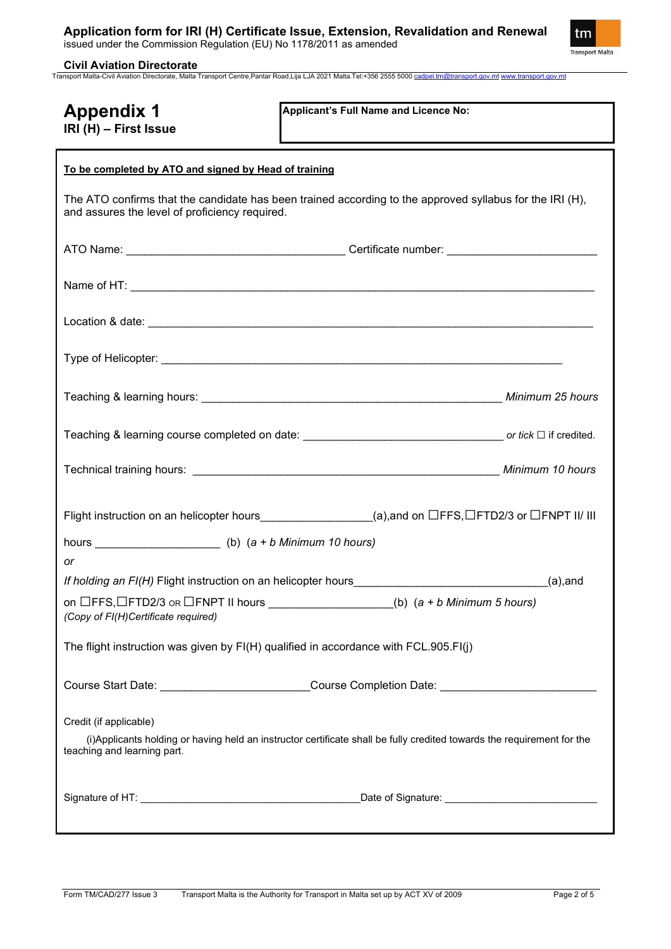tm Transport Malta

**Civil Aviation Directorate** Transport Malta-Civil Aviation Directorate, Malta Transport Centre,Pantar Road,Lija LJA 2021 Malta.Tel:+356 2555 5000 [cadpel.tm@transport.gov.mt](mailto:cadpel.tm@transport.gov.mt) [www.transport.gov.mt](http://www.transport.gov.mt/)

| <b>Appendix 1</b><br>IRI (H) - First Issue                                                                                                                                       | Applicant's Full Name and Licence No:                                                                |  |
|----------------------------------------------------------------------------------------------------------------------------------------------------------------------------------|------------------------------------------------------------------------------------------------------|--|
| To be completed by ATO and signed by Head of training                                                                                                                            |                                                                                                      |  |
| The ATO confirms that the candidate has been trained according to the approved syllabus for the IRI (H),<br>and assures the level of proficiency required.                       |                                                                                                      |  |
|                                                                                                                                                                                  |                                                                                                      |  |
|                                                                                                                                                                                  |                                                                                                      |  |
|                                                                                                                                                                                  |                                                                                                      |  |
|                                                                                                                                                                                  |                                                                                                      |  |
|                                                                                                                                                                                  |                                                                                                      |  |
|                                                                                                                                                                                  |                                                                                                      |  |
|                                                                                                                                                                                  |                                                                                                      |  |
| Flight instruction on an helicopter hours_________________(a),and on □FFS,□FTD2/3 or □FNPT II/ III                                                                               |                                                                                                      |  |
| hours ________________________(b) $(a + b \text{ Minimum } 10 \text{ hours})$                                                                                                    |                                                                                                      |  |
| or                                                                                                                                                                               |                                                                                                      |  |
|                                                                                                                                                                                  | If holding an FI(H) Flight instruction on an helicopter hours________________________________(a),and |  |
| on $\Box$ FFS, $\Box$ FTD2/3 or $\Box$ FNPT II hours ___________________(b) (a + b Minimum 5 hours)<br>(Copy of FI(H)Certificate required)                                       |                                                                                                      |  |
| The flight instruction was given by FI(H) qualified in accordance with FCL.905.FI(j)                                                                                             |                                                                                                      |  |
| Course Start Date: ___________________________Course Completion Date: _____________________________                                                                              |                                                                                                      |  |
| Credit (if applicable)<br>(i) Applicants holding or having held an instructor certificate shall be fully credited towards the requirement for the<br>teaching and learning part. |                                                                                                      |  |
|                                                                                                                                                                                  |                                                                                                      |  |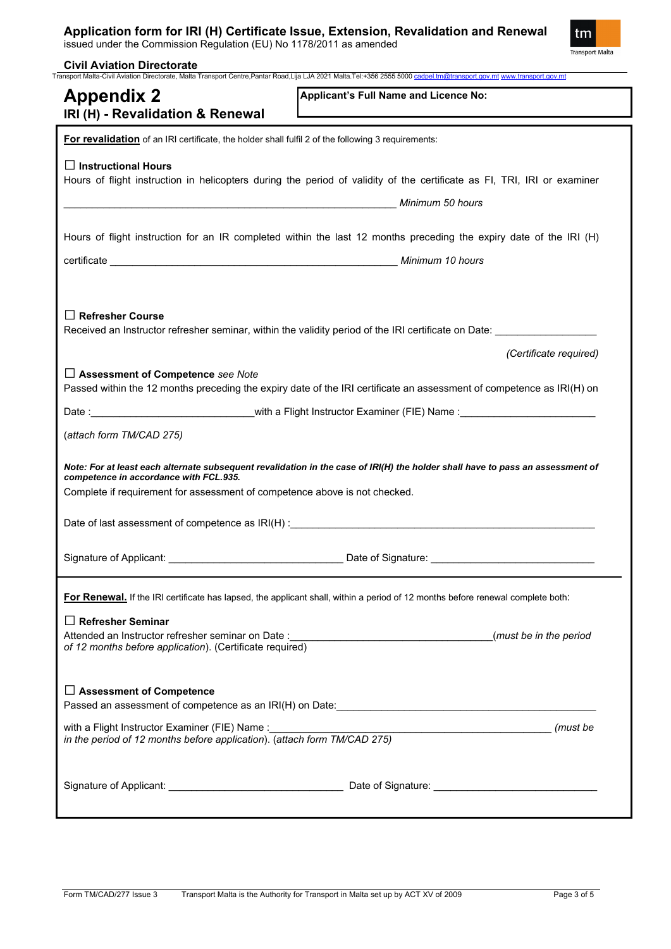## **Application form for IRI (H) Certificate Issue, Extension, Revalidation and Renewal**

issued under the Commission Regulation (EU) No 1178/2011 as amended

**Civil Aviation Directorate**



| IRI (H) - Revalidation & Renewal                                                                                           | Applicant's Full Name and Licence No:                                                                                           |
|----------------------------------------------------------------------------------------------------------------------------|---------------------------------------------------------------------------------------------------------------------------------|
| For revalidation of an IRI certificate, the holder shall fulfil 2 of the following 3 requirements:                         |                                                                                                                                 |
| $\Box$ Instructional Hours                                                                                                 | Hours of flight instruction in helicopters during the period of validity of the certificate as FI, TRI, IRI or examiner         |
|                                                                                                                            | Hours of flight instruction for an IR completed within the last 12 months preceding the expiry date of the IRI (H)              |
|                                                                                                                            |                                                                                                                                 |
| Refresher Course                                                                                                           |                                                                                                                                 |
|                                                                                                                            | Received an Instructor refresher seminar, within the validity period of the IRI certificate on Date:                            |
|                                                                                                                            | (Certificate required)                                                                                                          |
| $\Box$ Assessment of Competence see Note                                                                                   | Passed within the 12 months preceding the expiry date of the IRI certificate an assessment of competence as IRI(H) on           |
|                                                                                                                            | Date: <u>______________________</u> with a Flight Instructor Examiner (FIE) Name :________________________                      |
| (attach form TM/CAD 275)                                                                                                   |                                                                                                                                 |
| competence in accordance with FCL.935.<br>Complete if requirement for assessment of competence above is not checked.       | Note: For at least each alternate subsequent revalidation in the case of IRI(H) the holder shall have to pass an assessment of  |
|                                                                                                                            |                                                                                                                                 |
|                                                                                                                            |                                                                                                                                 |
|                                                                                                                            |                                                                                                                                 |
|                                                                                                                            | For Renewal. If the IRI certificate has lapsed, the applicant shall, within a period of 12 months before renewal complete both: |
| $\Box$ Refresher Seminar<br>of 12 months before application). (Certificate required)                                       | (must be in the period                                                                                                          |
| □ Assessment of Competence                                                                                                 | Passed an assessment of competence as an IRI(H) on Date:_________________________                                               |
| with a Flight Instructor Examiner (FIE) Name :<br>in the period of 12 months before application). (attach form TM/CAD 275) |                                                                                                                                 |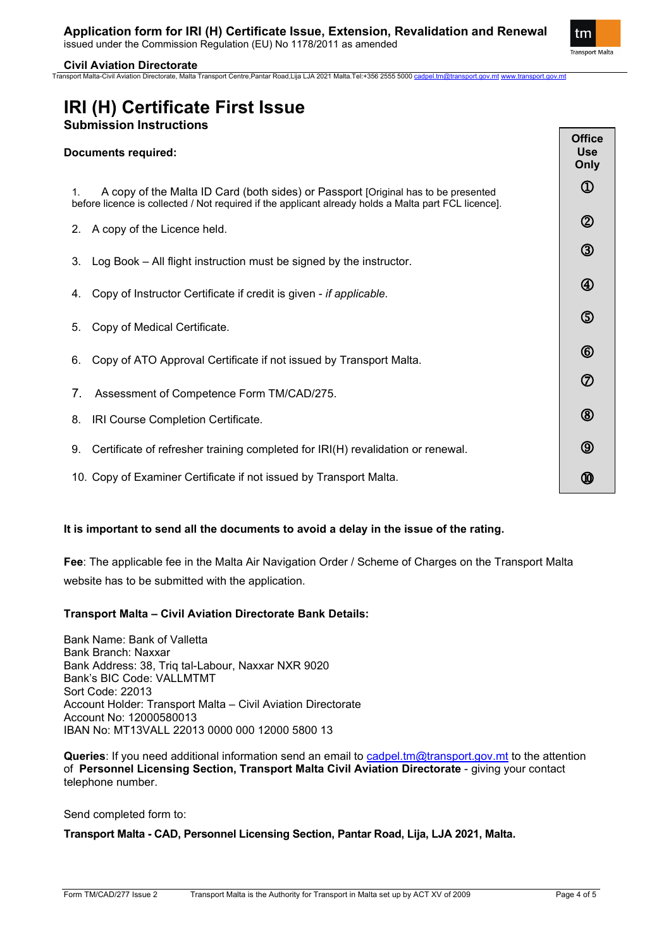tm **Transport Malta** 

> **Office Use Only**  $\Omega$

> > $\circled{2}$

 $\circled{3}$ 

4

(5)

 $\circled6$ 

 $\circledD$ 

 $\circledR$ 

 $\circledS$ 

ത

## **Civil Aviation Directorate**

Transport Malta-Civil Aviation Directorate, Malta Transport Centre,Pantar Road,Lija LJA 2021 Malta.Tel:+356 2555 5000 [cadpel.tm@transport.gov.mt](mailto:cadpel.tm@transport.gov.mt) [www.transport.gov.mt](http://www.transport.gov.mt/)

# **IRI (H) Certificate First Issue Submission Instructions**

| <b>Documents required:</b> |  |
|----------------------------|--|
|----------------------------|--|

1. A copy of the Malta ID Card (both sides) or Passport [Original has to be presented before licence is collected / Not required if the applicant already holds a Malta part FCL licence].

- 2. A copy of the Licence held.
- 3. Log Book All flight instruction must be signed by the instructor.
- 4. Copy of Instructor Certificate if credit is given *if applicable.*
- 5. Copy of Medical Certificate.
- 6. Copy of ATO Approval Certificate if not issued by Transport Malta.
- 7. Assessment of Competence Form TM/CAD/275.
- 8. IRI Course Completion Certificate.
- 9. Certificate of refresher training completed for IRI(H) revalidation or renewal.
- 10. Copy of Examiner Certificate if not issued by Transport Malta.

## **It is important to send all the documents to avoid a delay in the issue of the rating.**

**Fee**: The applicable fee in the Malta Air Navigation Order / Scheme of Charges on the Transport Malta website has to be submitted with the application.

## **Transport Malta – Civil Aviation Directorate Bank Details:**

Bank Name: Bank of Valletta Bank Branch: Naxxar Bank Address: 38, Triq tal-Labour, Naxxar NXR 9020 Bank's BIC Code: VALLMTMT Sort Code: 22013 Account Holder: Transport Malta – Civil Aviation Directorate Account No: 12000580013 IBAN No: MT13VALL 22013 0000 000 12000 5800 13

**Queries**: If you need additional information send an email to [cadpel.tm@transport.gov.mt](mailto:cadpel.tm@transport.gov.mt) to the attention of **Personnel Licensing Section, Transport Malta Civil Aviation Directorate** - giving your contact telephone number.

Send completed form to:

## **Transport Malta - CAD, Personnel Licensing Section, Pantar Road, Lija, LJA 2021, Malta.**